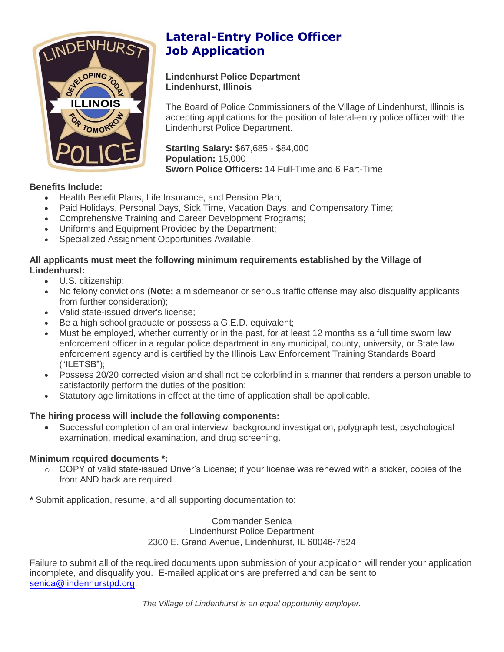

## **Lateral-Entry Police Officer Job Application**

#### **Lindenhurst Police Department Lindenhurst, Illinois**

The Board of Police Commissioners of the Village of Lindenhurst, Illinois is accepting applications for the position of lateral-entry police officer with the Lindenhurst Police Department.

**Starting Salary:** \$67,685 - \$84,000 **Population:** 15,000 **Sworn Police Officers:** 14 Full-Time and 6 Part-Time

#### **Benefits Include:**

- Health Benefit Plans, Life Insurance, and Pension Plan;
- Paid Holidays, Personal Days, Sick Time, Vacation Days, and Compensatory Time;
- Comprehensive Training and Career Development Programs;
- Uniforms and Equipment Provided by the Department;
- Specialized Assignment Opportunities Available.

#### **All applicants must meet the following minimum requirements established by the Village of Lindenhurst:**

- U.S. citizenship;
- No felony convictions (**Note:** a misdemeanor or serious traffic offense may also disqualify applicants from further consideration);
- Valid state-issued driver's license;
- Be a high school graduate or possess a G.E.D. equivalent;
- Must be employed, whether currently or in the past, for at least 12 months as a full time sworn law enforcement officer in a regular police department in any municipal, county, university, or State law enforcement agency and is certified by the Illinois Law Enforcement Training Standards Board ("ILETSB");
- Possess 20/20 corrected vision and shall not be colorblind in a manner that renders a person unable to satisfactorily perform the duties of the position;
- Statutory age limitations in effect at the time of application shall be applicable.

#### **The hiring process will include the following components:**

 Successful completion of an oral interview, background investigation, polygraph test, psychological examination, medical examination, and drug screening.

#### **Minimum required documents \*:**

- o COPY of valid state-issued Driver's License; if your license was renewed with a sticker, copies of the front AND back are required
- **\*** Submit application, resume, and all supporting documentation to:

Commander Senica Lindenhurst Police Department 2300 E. Grand Avenue, Lindenhurst, IL 60046-7524

Failure to submit all of the required documents upon submission of your application will render your application incomplete, and disqualify you. E-mailed applications are preferred and can be sent to senica@lindenhurstpd.org.

*The Village of Lindenhurst is an equal opportunity employer.*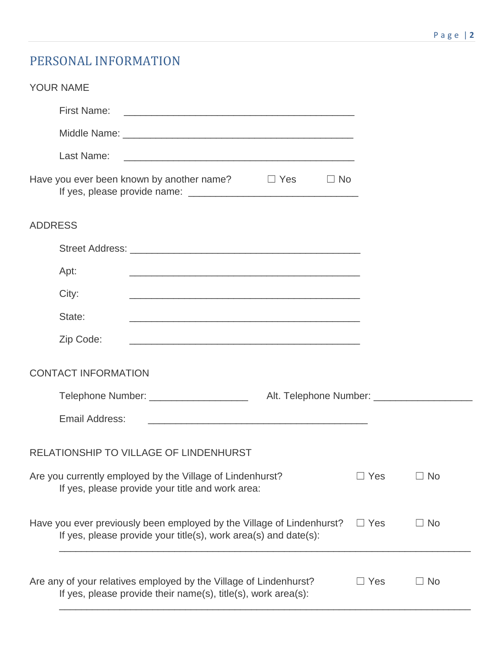# PERSONAL INFORMATION

| <b>YOUR NAME</b>                                                                                                                                                    |
|---------------------------------------------------------------------------------------------------------------------------------------------------------------------|
| <b>First Name:</b>                                                                                                                                                  |
|                                                                                                                                                                     |
| Last Name:<br><u> 2008 - Andrea Andrew Maria (h. 1888).</u>                                                                                                         |
| Have you ever been known by another name?<br>$\Box$ Yes<br>$\Box$ No                                                                                                |
| <b>ADDRESS</b>                                                                                                                                                      |
|                                                                                                                                                                     |
| Apt:<br><u> 1980 - Jan Barbara, martxa al II-lea (h. 1980).</u>                                                                                                     |
| City:<br><u> 1989 - Johann Stoff, amerikansk politiker (* 1908)</u>                                                                                                 |
| State:                                                                                                                                                              |
| Zip Code:                                                                                                                                                           |
| <b>CONTACT INFORMATION</b>                                                                                                                                          |
| Telephone Number: ______________________                                                                                                                            |
| Email Address:<br><u> 1989 - Johann Harry Harry Harry Harry Harry Harry Harry Harry Harry Harry Harry Harry Harry Harry Harry Harry</u>                             |
| RELATIONSHIP TO VILLAGE OF LINDENHURST                                                                                                                              |
| $\Box$ Yes<br>Are you currently employed by the Village of Lindenhurst?<br>$\Box$ No<br>If yes, please provide your title and work area:                            |
| Have you ever previously been employed by the Village of Lindenhurst?<br>$\Box$ No<br>$\Box$ Yes<br>If yes, please provide your title(s), work area(s) and date(s): |
| Are any of your relatives employed by the Village of Lindenhurst?<br>$\Box$ Yes<br>$\Box$ No<br>If yes, please provide their name(s), title(s), work area(s):       |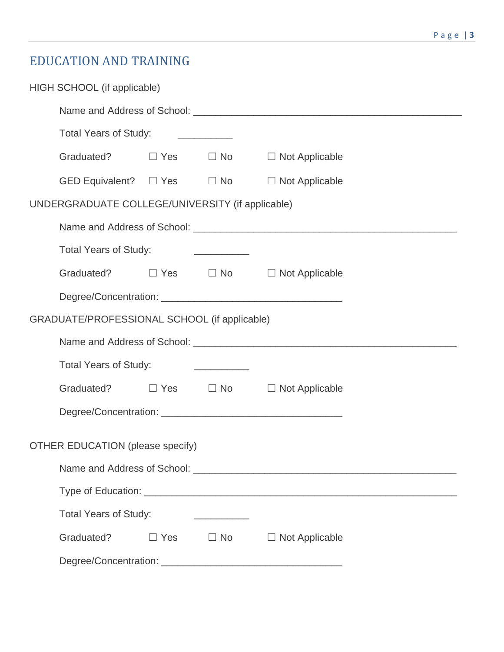# EDUCATION AND TRAINING

|                                  | HIGH SCHOOL (if applicable)                      |  |                                                                                                                      |                                            |
|----------------------------------|--------------------------------------------------|--|----------------------------------------------------------------------------------------------------------------------|--------------------------------------------|
|                                  |                                                  |  |                                                                                                                      |                                            |
|                                  | Total Years of Study: ____________               |  |                                                                                                                      |                                            |
|                                  | Graduated? □ Yes □ No □ Not Applicable           |  |                                                                                                                      |                                            |
|                                  | GED Equivalent? $\square$ Yes $\square$ No       |  |                                                                                                                      | $\Box$ Not Applicable                      |
|                                  | UNDERGRADUATE COLLEGE/UNIVERSITY (if applicable) |  |                                                                                                                      |                                            |
|                                  |                                                  |  |                                                                                                                      |                                            |
|                                  | <b>Total Years of Study:</b>                     |  | <u> 1989 - Jan Samuel Barbara, político e a f</u>                                                                    |                                            |
|                                  | Graduated? □ Yes □ No □ Not Applicable           |  |                                                                                                                      |                                            |
|                                  |                                                  |  |                                                                                                                      |                                            |
|                                  | GRADUATE/PROFESSIONAL SCHOOL (if applicable)     |  |                                                                                                                      |                                            |
|                                  |                                                  |  |                                                                                                                      |                                            |
|                                  | <b>Total Years of Study:</b>                     |  | <u> 1986 - Jan Barbara, manazarta p</u>                                                                              |                                            |
|                                  | Graduated? □ Yes □ No □ Not Applicable           |  |                                                                                                                      |                                            |
|                                  |                                                  |  |                                                                                                                      |                                            |
| OTHER EDUCATION (please specify) |                                                  |  |                                                                                                                      |                                            |
|                                  |                                                  |  |                                                                                                                      |                                            |
|                                  |                                                  |  |                                                                                                                      |                                            |
|                                  |                                                  |  |                                                                                                                      |                                            |
|                                  | <b>Total Years of Study:</b>                     |  | <u> 1980 - Jan Samuel Barbara, prima popular popular popular popular popular popular popular popular popular pop</u> |                                            |
|                                  | Graduated?                                       |  |                                                                                                                      | $\Box$ Yes $\Box$ No $\Box$ Not Applicable |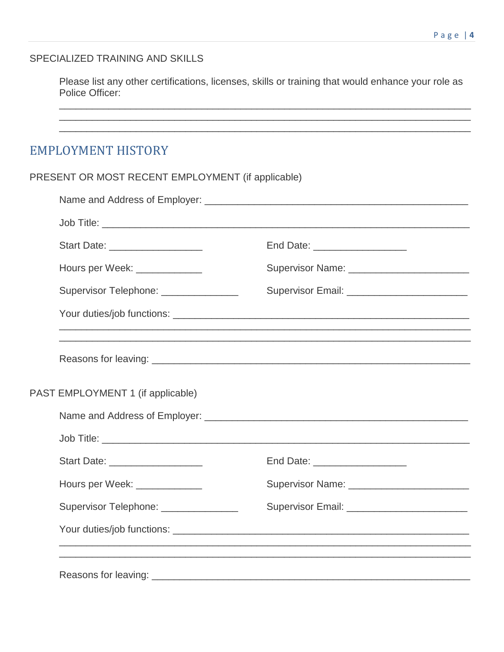#### SPECIALIZED TRAINING AND SKILLS

Please list any other certifications, licenses, skills or training that would enhance your role as Police Officer:

### **EMPLOYMENT HISTORY**

PRESENT OR MOST RECENT EMPLOYMENT (if applicable) 

| Start Date: ___________________        | End Date: ____________________                |
|----------------------------------------|-----------------------------------------------|
| Hours per Week: ____________           | Supervisor Name: _________________________    |
| Supervisor Telephone: ________________ | Supervisor Email: ___________________________ |
|                                        |                                               |
|                                        |                                               |
| PAST EMPLOYMENT 1 (if applicable)      |                                               |
|                                        |                                               |
|                                        |                                               |
| Start Date: ___________________        | End Date: ___________________                 |
| Hours per Week: _____________          | Supervisor Name: _________________________    |
| Supervisor Telephone: ______________   | Supervisor Email: __________________________  |
|                                        |                                               |
|                                        |                                               |
|                                        |                                               |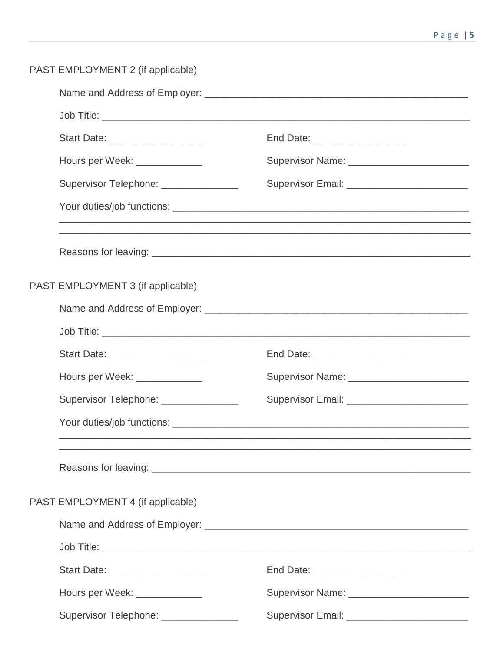| PAST EMPLOYMENT 2 (if applicable)      |                                                                                                                                                                                                                                |  |  |
|----------------------------------------|--------------------------------------------------------------------------------------------------------------------------------------------------------------------------------------------------------------------------------|--|--|
|                                        |                                                                                                                                                                                                                                |  |  |
|                                        |                                                                                                                                                                                                                                |  |  |
| Start Date: ____________________       | End Date: _____________________                                                                                                                                                                                                |  |  |
| Hours per Week: _____________          |                                                                                                                                                                                                                                |  |  |
| Supervisor Telephone: ________________ | Supervisor Email: __________________________                                                                                                                                                                                   |  |  |
|                                        |                                                                                                                                                                                                                                |  |  |
|                                        | ,我们也不能在这里的时候,我们也不能在这里的时候,我们也不能不能不能会不能会不能会不能会不能会不能会不能会不能会不能会。""我们的是,我们也不能会不能会不能会不                                                                                                                                               |  |  |
| PAST EMPLOYMENT 3 (if applicable)      |                                                                                                                                                                                                                                |  |  |
|                                        |                                                                                                                                                                                                                                |  |  |
|                                        |                                                                                                                                                                                                                                |  |  |
| Start Date: ____________________       | End Date: _____________________                                                                                                                                                                                                |  |  |
| Hours per Week: ______________         | Supervisor Name: \\contact \\contact \\contact \\contact \\contact \\contact \\contact \\contact \\contact \\contact \\contact \\contact \\contact \\contact \\contact \\contact \\contact \\contact \\contact \\contact \\con |  |  |
| Supervisor Telephone: _______________  | Supervisor Email: ____________________________                                                                                                                                                                                 |  |  |
|                                        |                                                                                                                                                                                                                                |  |  |
|                                        |                                                                                                                                                                                                                                |  |  |
| PAST EMPLOYMENT 4 (if applicable)      |                                                                                                                                                                                                                                |  |  |
|                                        |                                                                                                                                                                                                                                |  |  |
|                                        |                                                                                                                                                                                                                                |  |  |
| Start Date: ____________________       | End Date: _____________________                                                                                                                                                                                                |  |  |
| Hours per Week: _____________          | Supervisor Name: ___________________________                                                                                                                                                                                   |  |  |
| Supervisor Telephone: ________________ | Supervisor Email: ___________________________                                                                                                                                                                                  |  |  |
|                                        |                                                                                                                                                                                                                                |  |  |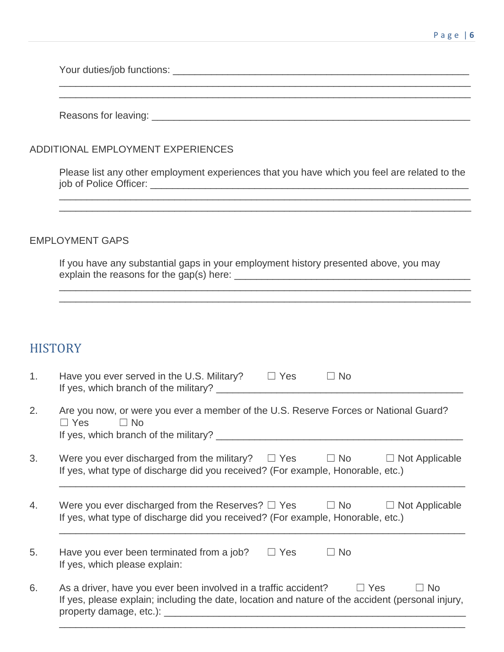Your duties/job functions: \_\_\_\_\_\_\_\_\_\_\_\_\_\_\_\_\_\_\_\_\_\_\_\_\_\_\_\_\_\_\_\_\_\_\_\_\_\_\_\_\_\_\_\_\_\_\_\_\_\_\_\_\_\_

Reasons for leaving: \_\_\_\_\_\_\_\_\_\_\_\_\_\_\_\_\_\_\_\_\_\_\_\_\_\_\_\_\_\_\_\_\_\_\_\_\_\_\_\_\_\_\_\_\_\_\_\_\_\_\_\_\_\_\_\_\_\_

#### ADDITIONAL EMPLOYMENT EXPERIENCES

\_\_\_\_\_\_\_\_\_\_\_\_\_\_\_\_\_\_\_\_\_\_\_\_\_\_\_\_\_\_\_\_\_\_\_\_\_\_\_\_\_\_\_\_\_\_\_\_\_\_\_\_\_\_\_\_\_\_\_\_\_\_\_\_\_\_\_\_\_\_\_\_\_\_\_

Please list any other employment experiences that you have which you feel are related to the job of Police Officer: \_\_\_\_\_\_\_\_\_\_\_\_\_\_\_\_\_\_\_\_\_\_\_\_\_\_\_\_\_\_\_\_\_\_\_\_\_\_\_\_\_\_\_\_\_\_\_\_\_\_\_\_\_\_\_\_\_\_

\_\_\_\_\_\_\_\_\_\_\_\_\_\_\_\_\_\_\_\_\_\_\_\_\_\_\_\_\_\_\_\_\_\_\_\_\_\_\_\_\_\_\_\_\_\_\_\_\_\_\_\_\_\_\_\_\_\_\_\_\_\_\_\_\_\_\_\_\_\_\_\_\_\_\_

\_\_\_\_\_\_\_\_\_\_\_\_\_\_\_\_\_\_\_\_\_\_\_\_\_\_\_\_\_\_\_\_\_\_\_\_\_\_\_\_\_\_\_\_\_\_\_\_\_\_\_\_\_\_\_\_\_\_\_\_\_\_\_\_\_\_\_\_\_\_\_\_\_\_\_

#### EMPLOYMENT GAPS

If you have any substantial gaps in your employment history presented above, you may explain the reasons for the gap(s) here: \_\_\_\_\_\_\_\_\_\_\_\_\_\_\_\_\_\_\_\_\_\_\_\_\_\_\_\_\_\_\_\_\_\_\_\_\_\_\_\_\_\_\_

### **HISTORY**

| 1. | Have you ever served in the U.S. Military?<br>$\Box$ Yes<br>$\Box$ No<br>If yes, which branch of the military? ________                                                                      |
|----|----------------------------------------------------------------------------------------------------------------------------------------------------------------------------------------------|
| 2. | Are you now, or were you ever a member of the U.S. Reserve Forces or National Guard?<br>$\Box$ Yes<br>$\Box$ No<br>If yes, which branch of the military?                                     |
| 3. | Were you ever discharged from the military? $\square$ Yes $\square$ No<br>$\Box$ Not Applicable<br>If yes, what type of discharge did you received? (For example, Honorable, etc.)           |
| 4. | Were you ever discharged from the Reserves? $\Box$ Yes $\Box$ No<br>$\Box$ Not Applicable<br>If yes, what type of discharge did you received? (For example, Honorable, etc.)                 |
| 5. | Have you ever been terminated from a job?<br>$\Box$ Yes<br>$\Box$ No<br>If yes, which please explain:                                                                                        |
| 6. | As a driver, have you ever been involved in a traffic accident? $\Box$ Yes<br>$\Box$ No<br>If yes, please explain; including the date, location and nature of the accident (personal injury, |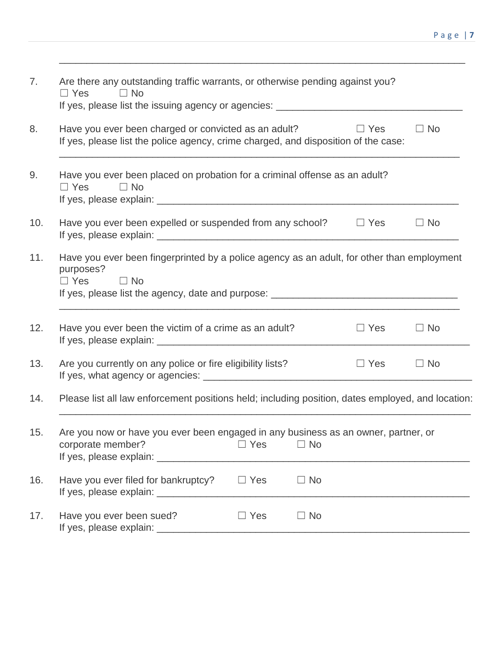| 7.  | Are there any outstanding traffic warrants, or otherwise pending against you?<br>$\Box$ Yes<br>$\Box$ No<br>If yes, please list the issuing agency or agencies: ____________________________ |           |  |  |  |
|-----|----------------------------------------------------------------------------------------------------------------------------------------------------------------------------------------------|-----------|--|--|--|
| 8.  | Have you ever been charged or convicted as an adult?<br>$\Box$ Yes<br>If yes, please list the police agency, crime charged, and disposition of the case:                                     | $\Box$ No |  |  |  |
| 9.  | Have you ever been placed on probation for a criminal offense as an adult?<br>$\Box$ Yes<br>$\Box$ No                                                                                        |           |  |  |  |
| 10. | Have you ever been expelled or suspended from any school?<br>$\Box$ Yes                                                                                                                      | $\Box$ No |  |  |  |
| 11. | Have you ever been fingerprinted by a police agency as an adult, for other than employment<br>purposes?<br>$\Box$ Yes<br>$\Box$ No                                                           |           |  |  |  |
| 12. | Have you ever been the victim of a crime as an adult?<br>$\Box$ Yes                                                                                                                          | $\Box$ No |  |  |  |
| 13. | Are you currently on any police or fire eligibility lists?<br>$\Box$ Yes                                                                                                                     | $\Box$ No |  |  |  |
| 14. | Please list all law enforcement positions held; including position, dates employed, and location:                                                                                            |           |  |  |  |
| 15. | Are you now or have you ever been engaged in any business as an owner, partner, or<br>corporate member?<br>$\Box$ Yes<br>$\Box$ No<br>If yes, please explain: _________                      |           |  |  |  |
| 16. | Have you ever filed for bankruptcy?<br>$\Box$ Yes<br>$\Box$ No<br>If yes, please explain: ____________                                                                                       |           |  |  |  |
| 17. | Have you ever been sued?<br>$\Box$ Yes<br>$\Box$ No<br>If yes, please explain: ____                                                                                                          |           |  |  |  |

\_\_\_\_\_\_\_\_\_\_\_\_\_\_\_\_\_\_\_\_\_\_\_\_\_\_\_\_\_\_\_\_\_\_\_\_\_\_\_\_\_\_\_\_\_\_\_\_\_\_\_\_\_\_\_\_\_\_\_\_\_\_\_\_\_\_\_\_\_\_\_\_\_\_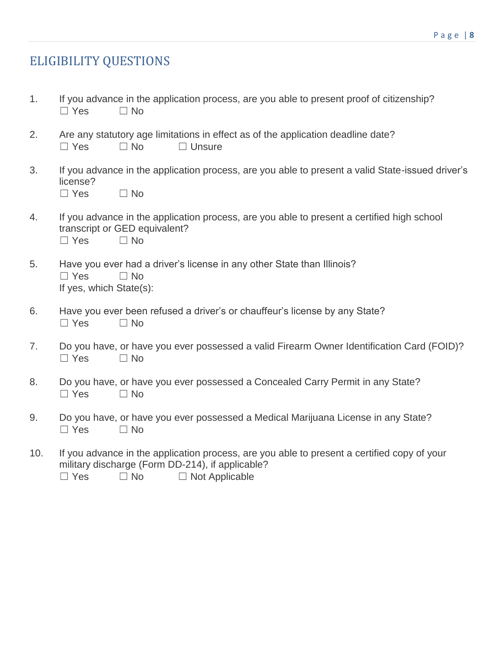## ELIGIBILITY QUESTIONS

- 1. If you advance in the application process, are you able to present proof of citizenship?  $\Box$  Yes  $\Box$  No
- 2. Are any statutory age limitations in effect as of the application deadline date?  $\Box$  Yes  $\Box$  No  $\Box$  Unsure
- 3. If you advance in the application process, are you able to present a valid State-issued driver's license?  $\Box$  Yes  $\Box$  No
- 4. If you advance in the application process, are you able to present a certified high school transcript or GED equivalent? ☐ Yes ☐ No
- 5. Have you ever had a driver's license in any other State than Illinois? ☐ Yes ☐ No If yes, which State(s):
- 6. Have you ever been refused a driver's or chauffeur's license by any State? ☐ Yes ☐ No
- 7. Do you have, or have you ever possessed a valid Firearm Owner Identification Card (FOID)? ☐ Yes ☐ No
- 8. Do you have, or have you ever possessed a Concealed Carry Permit in any State?  $\Box$  Yes  $\Box$  No
- 9. Do you have, or have you ever possessed a Medical Marijuana License in any State?  $\Box$  Yes  $\Box$  No
- 10. If you advance in the application process, are you able to present a certified copy of your military discharge (Form DD-214), if applicable?  $\Box$  Yes  $\Box$  No  $\Box$  Not Applicable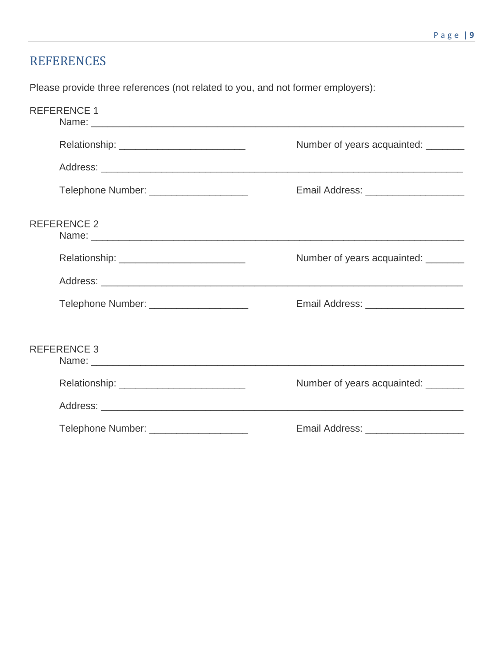### REFERENCES

Please provide three references (not related to you, and not former employers):

| <b>REFERENCE 1</b> |                                                                                                                                                                                                                                |                                       |
|--------------------|--------------------------------------------------------------------------------------------------------------------------------------------------------------------------------------------------------------------------------|---------------------------------------|
|                    | Relationship: ___________________________                                                                                                                                                                                      | Number of years acquainted: ________  |
|                    |                                                                                                                                                                                                                                |                                       |
|                    | Telephone Number: _____________________                                                                                                                                                                                        | Email Address: ______________________ |
| <b>REFERENCE 2</b> | Name: 2008.000 Name: 2008.000 Name: 2008.000 Name: 2008.000 Name: 2008.000 Name: 2008.000 Name: 2008.000 Name: 2008.000 Name: 2008.000 Name: 2008.000 Name: 2008.000 Name: 2008.000 Name: 2008.000 Name: 2008.000 Name: 2008.0 |                                       |
|                    |                                                                                                                                                                                                                                | Number of years acquainted:           |
|                    |                                                                                                                                                                                                                                |                                       |
|                    | Telephone Number: _____________________                                                                                                                                                                                        |                                       |
|                    |                                                                                                                                                                                                                                |                                       |
| <b>REFERENCE 3</b> |                                                                                                                                                                                                                                |                                       |
|                    |                                                                                                                                                                                                                                | Number of years acquainted:           |
|                    |                                                                                                                                                                                                                                |                                       |
|                    | Telephone Number: ______________________                                                                                                                                                                                       |                                       |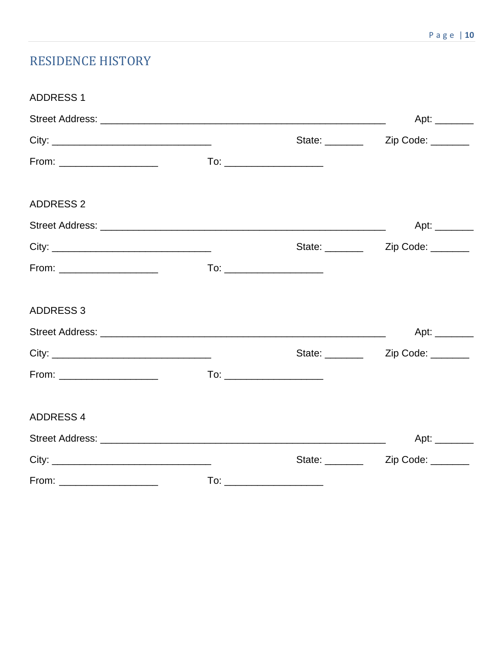# **RESIDENCE HISTORY**

| <b>ADDRESS 1</b> |  |                                                       |
|------------------|--|-------------------------------------------------------|
|                  |  |                                                       |
|                  |  |                                                       |
|                  |  |                                                       |
| <b>ADDRESS 2</b> |  |                                                       |
|                  |  |                                                       |
|                  |  | State: ____________ Zip Code: ________                |
|                  |  |                                                       |
| <b>ADDRESS 3</b> |  |                                                       |
|                  |  | Apt: $\_\_\_\_\_\_\_\_\_\_\_$                         |
|                  |  | State: ____________ Zip Code: ________                |
|                  |  |                                                       |
| <b>ADDRESS 4</b> |  |                                                       |
|                  |  | Apt: $\frac{1}{\sqrt{1-\frac{1}{2}}\cdot\frac{1}{2}}$ |
|                  |  |                                                       |
|                  |  |                                                       |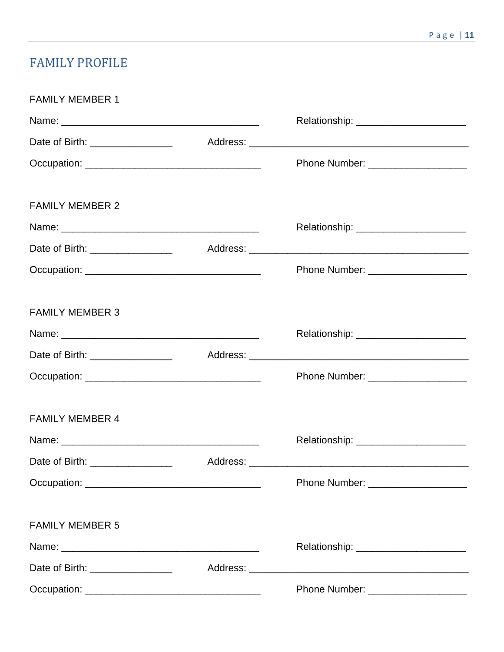# FAMILY PROFILE

| <b>FAMILY MEMBER 1</b>                |          |                                         |
|---------------------------------------|----------|-----------------------------------------|
|                                       |          | Relationship: _______________________   |
| Date of Birth: ___________________    |          |                                         |
|                                       |          | Phone Number: ____________________      |
|                                       |          |                                         |
| <b>FAMILY MEMBER 2</b>                |          |                                         |
|                                       |          |                                         |
| Date of Birth: ___________________    |          |                                         |
|                                       |          | Phone Number: _____________________     |
|                                       |          |                                         |
| <b>FAMILY MEMBER 3</b>                |          |                                         |
|                                       |          |                                         |
| Date of Birth: ____________________   |          |                                         |
|                                       |          | Phone Number: ______________________    |
|                                       |          |                                         |
| <b>FAMILY MEMBER 4</b>                |          |                                         |
|                                       |          |                                         |
| Date of Birth: The Contract of Birth: | Address: |                                         |
|                                       |          |                                         |
|                                       |          |                                         |
| <b>FAMILY MEMBER 5</b>                |          |                                         |
|                                       |          | Relationship: _________________________ |
| Date of Birth: ___________________    |          |                                         |
|                                       |          | Phone Number: ____________________      |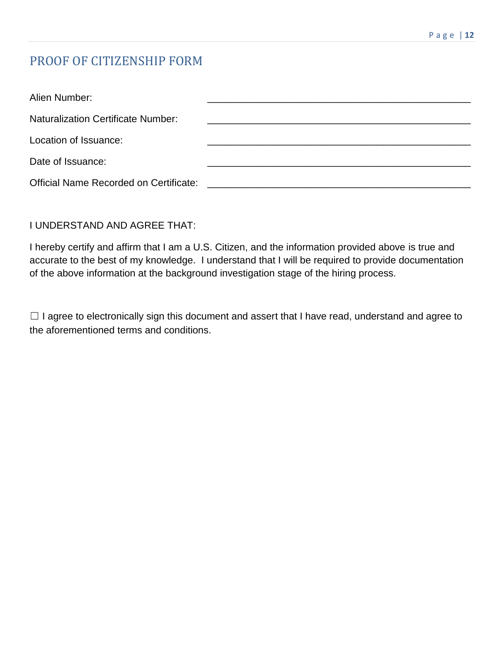# PROOF OF CITIZENSHIP FORM

| Alien Number:                                 |  |
|-----------------------------------------------|--|
| <b>Naturalization Certificate Number:</b>     |  |
| Location of Issuance:                         |  |
| Date of Issuance:                             |  |
| <b>Official Name Recorded on Certificate:</b> |  |

#### I UNDERSTAND AND AGREE THAT:

I hereby certify and affirm that I am a U.S. Citizen, and the information provided above is true and accurate to the best of my knowledge. I understand that I will be required to provide documentation of the above information at the background investigation stage of the hiring process.

□ I agree to electronically sign this document and assert that I have read, understand and agree to the aforementioned terms and conditions.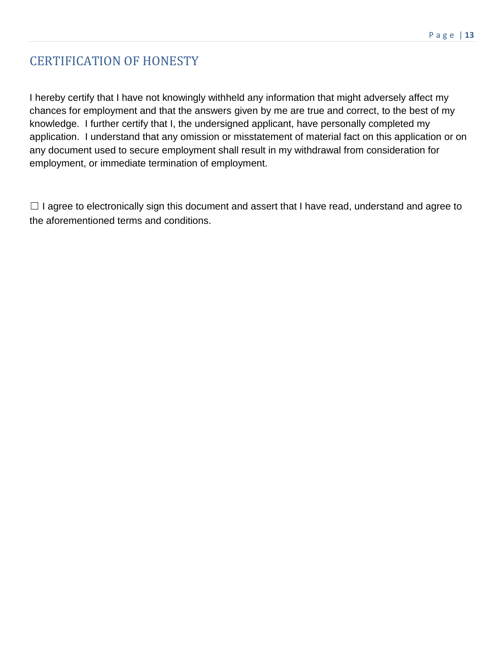# CERTIFICATION OF HONESTY

I hereby certify that I have not knowingly withheld any information that might adversely affect my chances for employment and that the answers given by me are true and correct, to the best of my knowledge. I further certify that I, the undersigned applicant, have personally completed my application. I understand that any omission or misstatement of material fact on this application or on any document used to secure employment shall result in my withdrawal from consideration for employment, or immediate termination of employment.

 $\Box$  I agree to electronically sign this document and assert that I have read, understand and agree to the aforementioned terms and conditions.